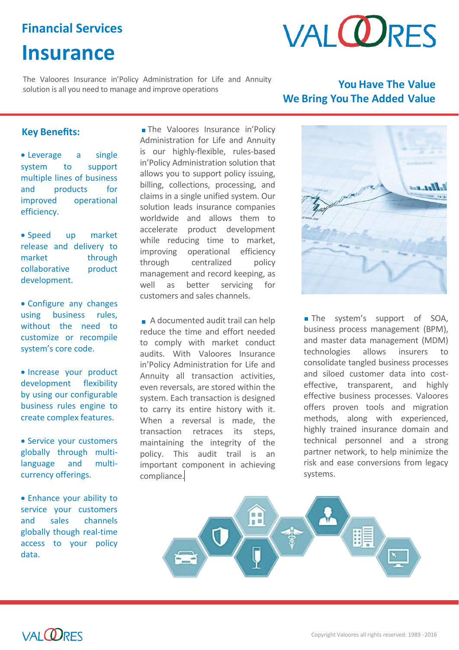# **Financial Services**

# **Insurance**



The Valoores Insurance in'Policy Administration for Life and Annuity solution is all you need to manage and improve operations **You Have The Value**

# **We Bring You The Added Value**

# **Key Benefits:**

 Leverage a single system to support multiple lines of business and products for improved operational efficiency.

 Speed up market release and delivery to market through collaborative product development.

 Configure any changes using business rules, without the need to customize or recompile system's core code.

• Increase your product development flexibility by using our configurable business rules engine to create complex features.

• Service your customers globally through multilanguage and multicurrency offerings.

 Enhance your ability to service your customers and sales channels globally though real-time access to your policy data.

The Valoores Insurance in'Policy Administration for Life and Annuity is our highly-flexible, rules-based in'Policy Administration solution that allows you to support policy issuing, billing, collections, processing, and claims in a single unified system. Our solution leads insurance companies worldwide and allows them to accelerate product development while reducing time to market, improving operational efficiency through centralized policy management and record keeping, as well as better servicing for customers and sales channels.

A documented audit trail can help reduce the time and effort needed to comply with market conduct audits. With Valoores Insurance in'Policy Administration for Life and Annuity all transaction activities, even reversals, are stored within the system. Each transaction is designed to carry its entire history with it. When a reversal is made, the transaction retraces its steps, maintaining the integrity of the policy. This audit trail is an important component in achieving compliance.



The system's support of SOA, business process management (BPM), and master data management (MDM) technologies allows insurers to consolidate tangled business processes and siloed customer data into costeffective, transparent, and highly effective business processes. Valoores offers proven tools and migration methods, along with experienced, highly trained insurance domain and technical personnel and a strong partner network, to help minimize the risk and ease conversions from legacy systems.